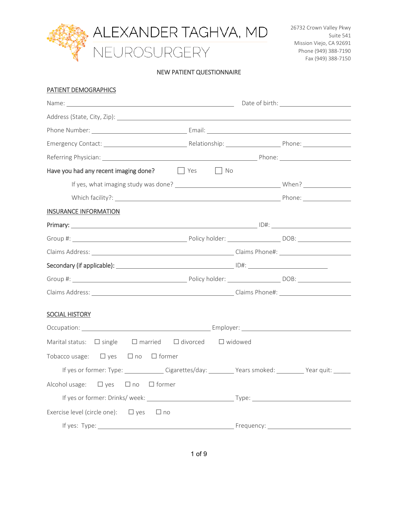

#### NEW PATIENT QUESTIONNAIRE

#### PATIENT DEMOGRAPHICS

| Have you had any recent imaging done? The Yes Theodor                                       |  |
|---------------------------------------------------------------------------------------------|--|
|                                                                                             |  |
|                                                                                             |  |
| <b>INSURANCE INFORMATION</b>                                                                |  |
|                                                                                             |  |
|                                                                                             |  |
|                                                                                             |  |
|                                                                                             |  |
|                                                                                             |  |
|                                                                                             |  |
| <b>SOCIAL HISTORY</b>                                                                       |  |
|                                                                                             |  |
| Marital status: $\Box$ single $\Box$ married $\Box$ divorced $\Box$ widowed                 |  |
| Tobacco usage: $\Box$ yes $\Box$ no $\Box$ former                                           |  |
| If yes or former: Type: Cigarettes/day: _________ Years smoked: _________ Year quit: ______ |  |
| Alcohol usage: $\Box$ yes $\Box$ no $\Box$ former                                           |  |
|                                                                                             |  |
| Exercise level (circle one): $\Box$ yes $\Box$ no                                           |  |
|                                                                                             |  |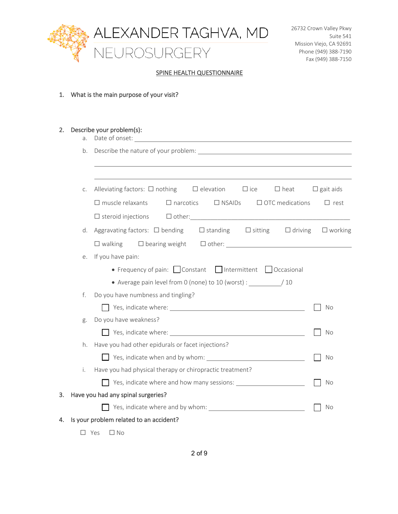

#### SPINE HEALTH QUESTIONNAIRE

1. What is the main purpose of your visit?

| 2. | a.         | Describe your problem(s):                                                                        |                  |
|----|------------|--------------------------------------------------------------------------------------------------|------------------|
|    | b.         |                                                                                                  |                  |
|    |            |                                                                                                  |                  |
|    |            |                                                                                                  |                  |
|    | С.         | Alleviating factors: $\Box$ nothing $\Box$ elevation $\Box$ ice<br>$\Box$ heat                   | $\Box$ gait aids |
|    |            | $\Box$ muscle relaxants<br>$\Box$ narcotics $\Box$ NSAIDs $\Box$ OTC medications                 | $\Box$ rest      |
|    |            | $\Box$ other: $\Box$<br>$\Box$ steroid injections                                                |                  |
|    | d.         | Aggravating factors: $\Box$ bending $\Box$ Standing $\Box$ Sitting $\Box$ driving $\Box$ working |                  |
|    |            | $\Box$ walking                                                                                   |                  |
|    | е.         | If you have pain:                                                                                |                  |
|    |            | • Frequency of pain: Constant Intermittent   Occasional                                          |                  |
|    |            | • Average pain level from 0 (none) to 10 (worst) : _______________/ 10                           |                  |
|    | f.         | Do you have numbness and tingling?                                                               |                  |
|    |            |                                                                                                  | No               |
|    | g.         | Do you have weakness?                                                                            |                  |
|    |            |                                                                                                  | No               |
|    | h.         | Have you had other epidurals or facet injections?                                                |                  |
|    |            |                                                                                                  | No               |
|    | i.         | Have you had physical therapy or chiropractic treatment?                                         |                  |
|    |            |                                                                                                  | No               |
| 3. |            | Have you had any spinal surgeries?                                                               |                  |
|    |            |                                                                                                  | No               |
| 4. |            | Is your problem related to an accident?                                                          |                  |
|    | $\Box$ Yes | □ No                                                                                             |                  |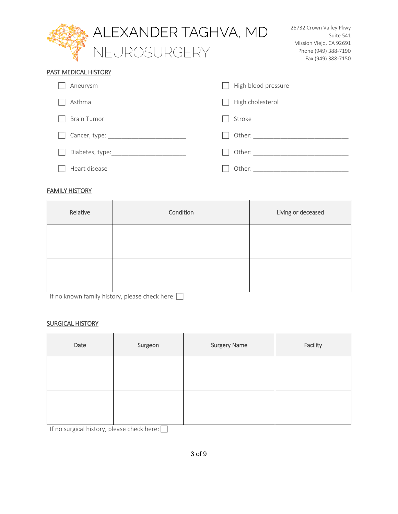|                      | ALEXANDER TAGHVA, MD     |                     | 26732 Crown Valley Pkwy<br>Suite 541                                  |
|----------------------|--------------------------|---------------------|-----------------------------------------------------------------------|
|                      | NEUROSURGERY             |                     | Mission Viejo, CA 92691<br>Phone (949) 388-7190<br>Fax (949) 388-7150 |
| PAST MEDICAL HISTORY |                          |                     |                                                                       |
| Aneurysm             |                          | High blood pressure |                                                                       |
| Asthma               |                          | High cholesterol    |                                                                       |
| <b>Brain Tumor</b>   |                          | Stroke              |                                                                       |
|                      | Cancer, type: __________ | Other: $\_\_$       |                                                                       |
|                      | Diabetes, type:          |                     |                                                                       |
| Heart disease        |                          | Other:              |                                                                       |

## FAMILY HISTORY

| Relative | Condition | Living or deceased |
|----------|-----------|--------------------|
|          |           |                    |
|          |           |                    |
|          |           |                    |
|          |           |                    |

If no known family history, please check here:

# SURGICAL HISTORY

| Date | Surgeon | <b>Surgery Name</b> | Facility |
|------|---------|---------------------|----------|
|      |         |                     |          |
|      |         |                     |          |
|      |         |                     |          |
|      |         |                     |          |

If no surgical history, please check here:  $\Box$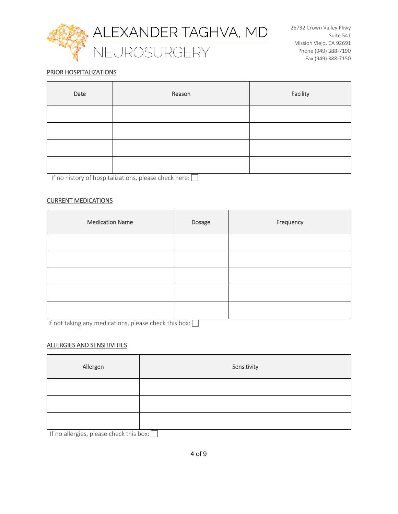

### PRIOR HOSPITALIZATIONS

| Date | Reason | Facility |
|------|--------|----------|
|      |        |          |
|      |        |          |
|      |        |          |
|      |        |          |

If no history of hospitalizations, please check here:  $\Box$ 

#### CURRENT MEDICATIONS

| <b>Medication Name</b> | Dosage | Frequency |
|------------------------|--------|-----------|
|                        |        |           |
|                        |        |           |
|                        |        |           |
|                        |        |           |
|                        |        |           |

If not taking any medications, please check this box:  $\Box$ 

#### ALLERGIES AND SENSITIVITIES

| Allergen                                                                                                                               | Sensitivity |
|----------------------------------------------------------------------------------------------------------------------------------------|-------------|
|                                                                                                                                        |             |
|                                                                                                                                        |             |
| the contract of the contract of the contract of<br>$\mathbf{r}$ and $\mathbf{r}$ and $\mathbf{r}$<br><b>Contract Contract Contract</b> | ┌           |

If no allergies, please check this box:  $\Box$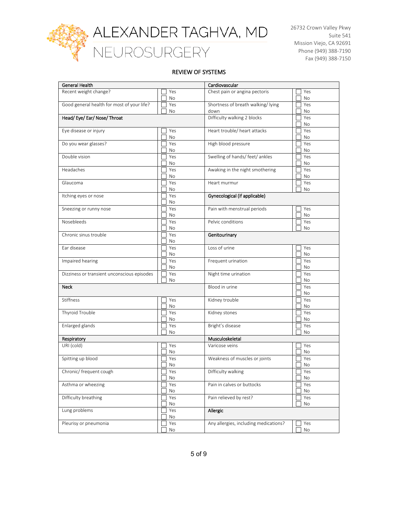

#### REVIEW OF SYSTEMS

| General Health                              |           | Cardiovascular                            |           |
|---------------------------------------------|-----------|-------------------------------------------|-----------|
| Recent weight change?                       | Yes<br>No | Chest pain or angina pectoris             | Yes<br>No |
| Good general health for most of your life?  | Yes<br>No | Shortness of breath walking/lying<br>down | Yes<br>No |
| Head/Eye/Ear/Nose/Throat                    |           | Difficulty walking 2 blocks               | Yes<br>No |
| Eye disease or injury                       | Yes<br>No | Heart trouble/ heart attacks              | Yes<br>No |
| Do you wear glasses?                        | Yes<br>No | High blood pressure                       | Yes<br>No |
| Double vision                               | Yes<br>No | Swelling of hands/ feet/ ankles           | Yes<br>No |
| Headaches                                   | Yes<br>No | Awaking in the night smothering           | Yes<br>No |
| Glaucoma                                    | Yes<br>No | Heart murmur                              | Yes<br>No |
| Itching eyes or nose                        | Yes<br>No | Gynecological (if applicable)             |           |
| Sneezing or runny nose                      | Yes<br>No | Pain with menstrual periods               | Yes<br>No |
| Nosebleeds                                  | Yes<br>No | Pelvic conditions                         | Yes<br>No |
| Chronic sinus trouble                       | Yes<br>No | Genitourinary                             |           |
| Ear disease                                 | Yes<br>No | Loss of urine                             | Yes<br>No |
| Impaired hearing                            | Yes<br>No | Frequent urination                        | Yes<br>No |
| Dizziness or transient unconscious episodes | Yes<br>No | Night time urination                      | Yes<br>No |
| <b>Neck</b>                                 |           | Blood in urine                            | Yes<br>No |
| Stiffness                                   | Yes<br>No | Kidney trouble                            | Yes<br>No |
| Thyroid Trouble                             | Yes<br>No | Kidney stones                             | Yes<br>No |
| Enlarged glands                             | Yes<br>No | Bright's disease                          | Yes<br>No |
| Respiratory                                 |           | Musculoskeletal                           |           |
| URI (cold)                                  | Yes<br>No | Varicose veins                            | Yes<br>No |
| Spitting up blood                           | Yes<br>No | Weakness of muscles or joints             | Yes<br>No |
| Chronic/ frequent cough                     | Yes<br>No | Difficulty walking                        | Yes<br>No |
| Asthma or wheezing                          | Yes<br>No | Pain in calves or buttocks                | Yes<br>No |
| Difficulty breathing                        | Yes<br>No | Pain relieved by rest?                    | Yes<br>No |
| Lung problems                               | Yes<br>No | Allergic                                  |           |
| Pleurisy or pneumonia                       | Yes<br>No | Any allergies, including medications?     | Yes<br>No |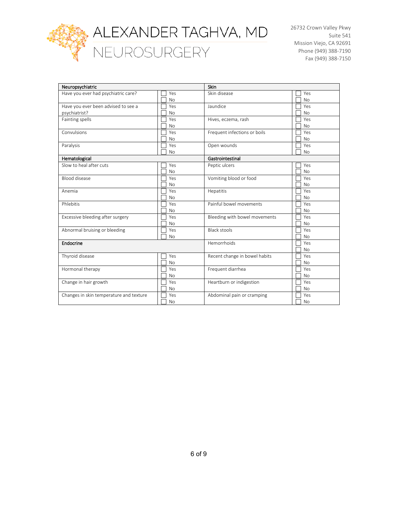

ALEXANDER TAGHVA, MD<br>NEUROSURGERY

26732 Crown Valley Pkwy Suite 541 Mission Viejo, CA 92691 Phone (949) 388-7190 Fax (949) 388-7150

| Neuropsychiatric                        |           | Skin                          |           |
|-----------------------------------------|-----------|-------------------------------|-----------|
|                                         |           |                               |           |
| Have you ever had psychiatric care?     | Yes       | Skin disease                  | Yes       |
|                                         | <b>No</b> |                               | <b>No</b> |
| Have you ever been advised to see a     | Yes       | Jaundice                      | Yes       |
| psychiatrist?                           | <b>No</b> |                               | <b>No</b> |
| Fainting spells                         | Yes       | Hives, eczema, rash           | Yes       |
|                                         | <b>No</b> |                               | <b>No</b> |
| Convulsions                             | Yes       | Frequent infections or boils  | Yes       |
|                                         | <b>No</b> |                               | <b>No</b> |
| Paralysis                               | Yes       | Open wounds                   | Yes       |
|                                         |           |                               |           |
|                                         | <b>No</b> |                               | <b>No</b> |
| Hematological                           |           | Gastrointestinal              |           |
| Slow to heal after cuts                 | Yes       | Peptic ulcers                 | Yes       |
|                                         | <b>No</b> |                               | <b>No</b> |
| <b>Blood disease</b>                    | Yes       | Vomiting blood or food        | Yes       |
|                                         | <b>No</b> |                               | <b>No</b> |
| Anemia                                  | Yes       | Hepatitis                     | Yes       |
|                                         | <b>No</b> |                               | <b>No</b> |
| Phlebitis                               | Yes       | Painful bowel movements       | Yes       |
|                                         | <b>No</b> |                               | <b>No</b> |
| Excessive bleeding after surgery        | Yes       | Bleeding with bowel movements | Yes       |
|                                         | <b>No</b> |                               | <b>No</b> |
|                                         | Yes       | <b>Black stools</b>           | Yes       |
| Abnormal bruising or bleeding           |           |                               |           |
|                                         | <b>No</b> |                               | <b>No</b> |
| Endocrine                               |           | Hemorrhoids                   | Yes       |
|                                         |           |                               | <b>No</b> |
| Thyroid disease                         | Yes       | Recent change in bowel habits | Yes       |
|                                         | <b>No</b> |                               | <b>No</b> |
| Hormonal therapy                        | Yes       | Frequent diarrhea             | Yes       |
|                                         | <b>No</b> |                               | <b>No</b> |
| Change in hair growth                   | Yes       | Heartburn or indigestion      | Yes       |
|                                         | <b>No</b> |                               | <b>No</b> |
| Changes in skin temperature and texture | Yes       | Abdominal pain or cramping    | Yes       |
|                                         |           |                               | <b>No</b> |
|                                         | No        |                               |           |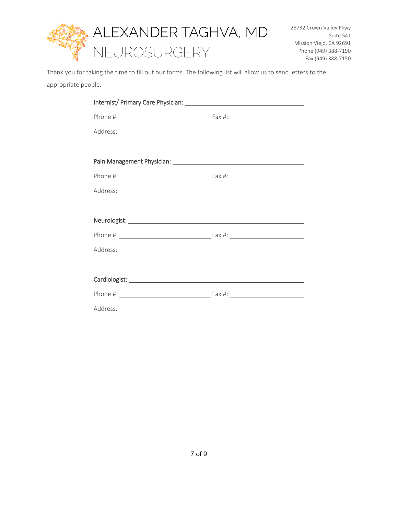

Thank you for taking the time to fill out our forms. The following list will allow us to send letters to the appropriate people.

| Address: National Address: National Address: National Address: National Address: National Address: National Address: National Address: National Address: National Address: National Address: National Address: National Addres |  |
|--------------------------------------------------------------------------------------------------------------------------------------------------------------------------------------------------------------------------------|--|
|                                                                                                                                                                                                                                |  |
|                                                                                                                                                                                                                                |  |
|                                                                                                                                                                                                                                |  |
|                                                                                                                                                                                                                                |  |
|                                                                                                                                                                                                                                |  |
|                                                                                                                                                                                                                                |  |
|                                                                                                                                                                                                                                |  |
| Address: No. 2008. The Committee of the Committee of the Committee of the Committee of the Committee of the Committee of the Committee of the Committee of the Committee of the Committee of the Committee of the Committee of |  |
|                                                                                                                                                                                                                                |  |
|                                                                                                                                                                                                                                |  |
|                                                                                                                                                                                                                                |  |
|                                                                                                                                                                                                                                |  |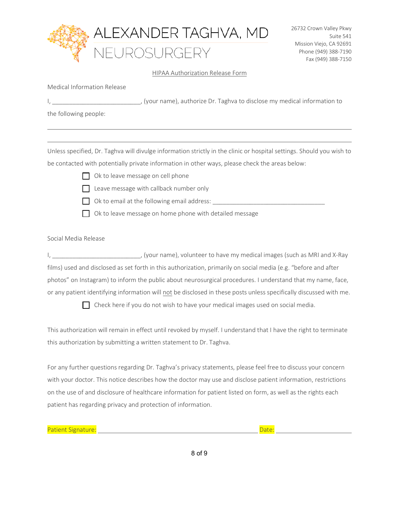

#### HIPAA Authorization Release Form

|  |  | (your name), authorize Dr. Taghva to disclose my medical information to |  |  |  |  |  |
|--|--|-------------------------------------------------------------------------|--|--|--|--|--|
|  |  |                                                                         |  |  |  |  |  |

the following people:

Unless specified, Dr. Taghva will divulge information strictly in the clinic or hospital settings. Should you wish to be contacted with potentially private information in other ways, please check the areas below:

 $\Box$  Ok to leave message on cell phone



- 
- $\Box$  Leave message with callback number only
- $\Box$  Ok to email at the following email address:
- 
- $\Box$  Ok to leave message on home phone with detailed message

#### Social Media Release

I, \_\_\_\_\_\_\_\_\_\_\_\_\_\_\_\_\_\_\_\_\_\_\_\_\_\_, (your name), volunteer to have my medical images (such as MRI and X-Ray films) used and disclosed as set forth in this authorization, primarily on social media (e.g. "before and after photos" on Instagram) to inform the public about neurosurgical procedures. I understand that my name, face, or any patient identifying information will not be disclosed in these posts unless specifically discussed with me.

 $\Box$  Check here if you do not wish to have your medical images used on social media.

This authorization will remain in effect until revoked by myself. I understand that I have the right to terminate this authorization by submitting a written statement to Dr. Taghva.

For any further questions regarding Dr. Taghva's privacy statements, please feel free to discuss your concern with your doctor. This notice describes how the doctor may use and disclose patient information, restrictions on the use of and disclosure of healthcare information for patient listed on form, as well as the rights each patient has regarding privacy and protection of information.

Patient Signature: Date: Date: Date: Date: Date: Date: Date: Date: Date: Date: Date: Date: Date: Date: Date: D